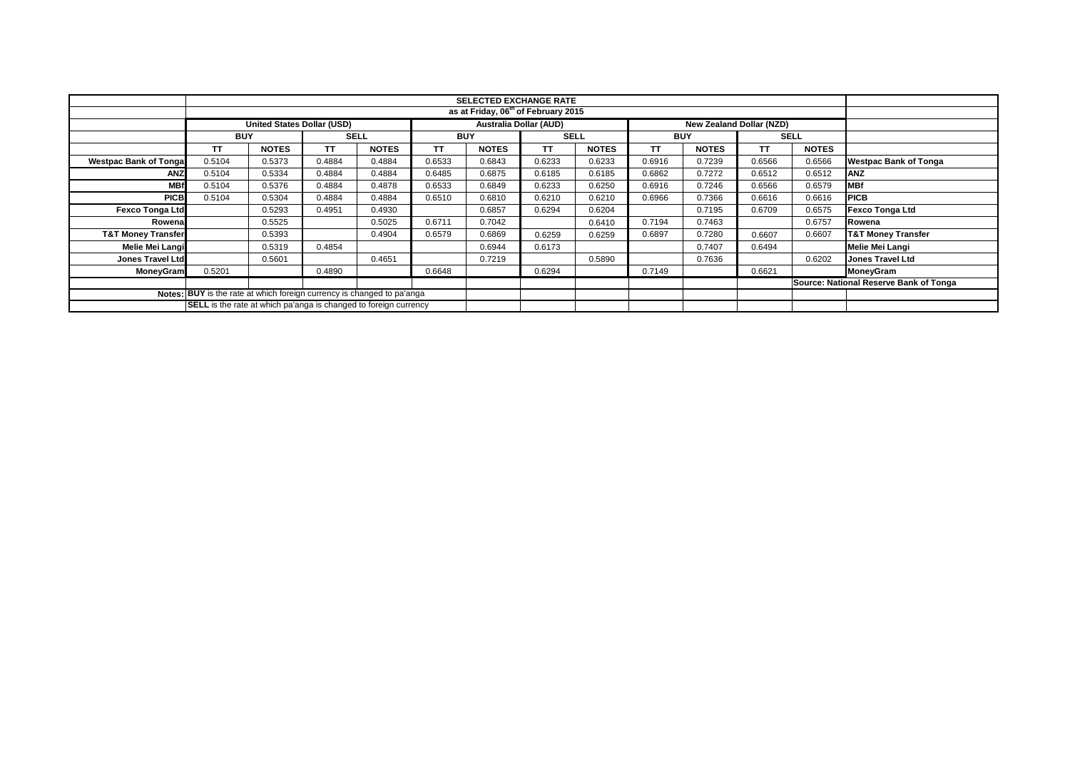|                                                                               | <b>SELECTED EXCHANGE RATE</b><br>as at Friday, 06 <sup>th</sup> of February 2015               |              |             |              |            |              |             |              |            |              |             |              |                                        |
|-------------------------------------------------------------------------------|------------------------------------------------------------------------------------------------|--------------|-------------|--------------|------------|--------------|-------------|--------------|------------|--------------|-------------|--------------|----------------------------------------|
|                                                                               |                                                                                                |              |             |              |            |              |             |              |            |              |             |              |                                        |
|                                                                               | <b>United States Dollar (USD)</b><br><b>Australia Dollar (AUD)</b><br>New Zealand Dollar (NZD) |              |             |              |            |              |             |              |            |              |             |              |                                        |
|                                                                               | <b>BUY</b>                                                                                     |              | <b>SELL</b> |              | <b>BUY</b> |              | <b>SELL</b> |              | <b>BUY</b> |              | <b>SELL</b> |              |                                        |
|                                                                               | <b>TT</b>                                                                                      | <b>NOTES</b> | <b>TT</b>   | <b>NOTES</b> | <b>TT</b>  | <b>NOTES</b> | <b>TT</b>   | <b>NOTES</b> | TT         | <b>NOTES</b> | TΤ          | <b>NOTES</b> |                                        |
| <b>Westpac Bank of Tongal</b>                                                 | 0.5104                                                                                         | 0.5373       | 0.4884      | 0.4884       | 0.6533     | 0.6843       | 0.6233      | 0.6233       | 0.6916     | 0.7239       | 0.6566      | 0.6566       | <b>Westpac Bank of Tonga</b>           |
| <b>ANZ</b>                                                                    | 0.5104                                                                                         | 0.5334       | 0.4884      | 0.4884       | 0.6485     | 0.6875       | 0.6185      | 0.6185       | 0.6862     | 0.7272       | 0.6512      | 0.6512       | <b>ANZ</b>                             |
| <b>MBf</b>                                                                    | 0.5104                                                                                         | 0.5376       | 0.4884      | 0.4878       | 0.6533     | 0.6849       | 0.6233      | 0.6250       | 0.6916     | 0.7246       | 0.6566      | 0.6579       | <b>IMBf</b>                            |
| <b>PICB</b>                                                                   | 0.5104                                                                                         | 0.5304       | 0.4884      | 0.4884       | 0.6510     | 0.6810       | 0.6210      | 0.6210       | 0.6966     | 0.7366       | 0.6616      | 0.6616       | <b>PICB</b>                            |
| <b>Fexco Tonga Ltd</b>                                                        |                                                                                                | 0.5293       | 0.4951      | 0.4930       |            | 0.6857       | 0.6294      | 0.6204       |            | 0.7195       | 0.6709      | 0.6575       | <b>Fexco Tonga Ltd</b>                 |
| Rowena                                                                        |                                                                                                | 0.5525       |             | 0.5025       | 0.6711     | 0.7042       |             | 0.6410       | 0.7194     | 0.7463       |             | 0.6757       | Rowena                                 |
| <b>T&amp;T Money Transfer</b>                                                 |                                                                                                | 0.5393       |             | 0.4904       | 0.6579     | 0.6869       | 0.6259      | 0.6259       | 0.6897     | 0.7280       | 0.6607      | 0.6607       | <b>T&amp;T Money Transfer</b>          |
| <b>Melie Mei Langi</b>                                                        |                                                                                                | 0.5319       | 0.4854      |              |            | 0.6944       | 0.6173      |              |            | 0.7407       | 0.6494      |              | Melie Mei Langi                        |
| <b>Jones Travel Ltd</b>                                                       |                                                                                                | 0.5601       |             | 0.4651       |            | 0.7219       |             | 0.5890       |            | 0.7636       |             | 0.6202       | <b>Jones Travel Ltd</b>                |
| <b>MoneyGram</b>                                                              | 0.5201                                                                                         |              | 0.4890      |              | 0.6648     |              | 0.6294      |              | 0.7149     |              | 0.6621      |              | MoneyGram                              |
|                                                                               |                                                                                                |              |             |              |            |              |             |              |            |              |             |              | Source: National Reserve Bank of Tonga |
| <b>Notes: BUY</b> is the rate at which foreign currency is changed to pa'anga |                                                                                                |              |             |              |            |              |             |              |            |              |             |              |                                        |
| SELL is the rate at which pa'anga is changed to foreign currency              |                                                                                                |              |             |              |            |              |             |              |            |              |             |              |                                        |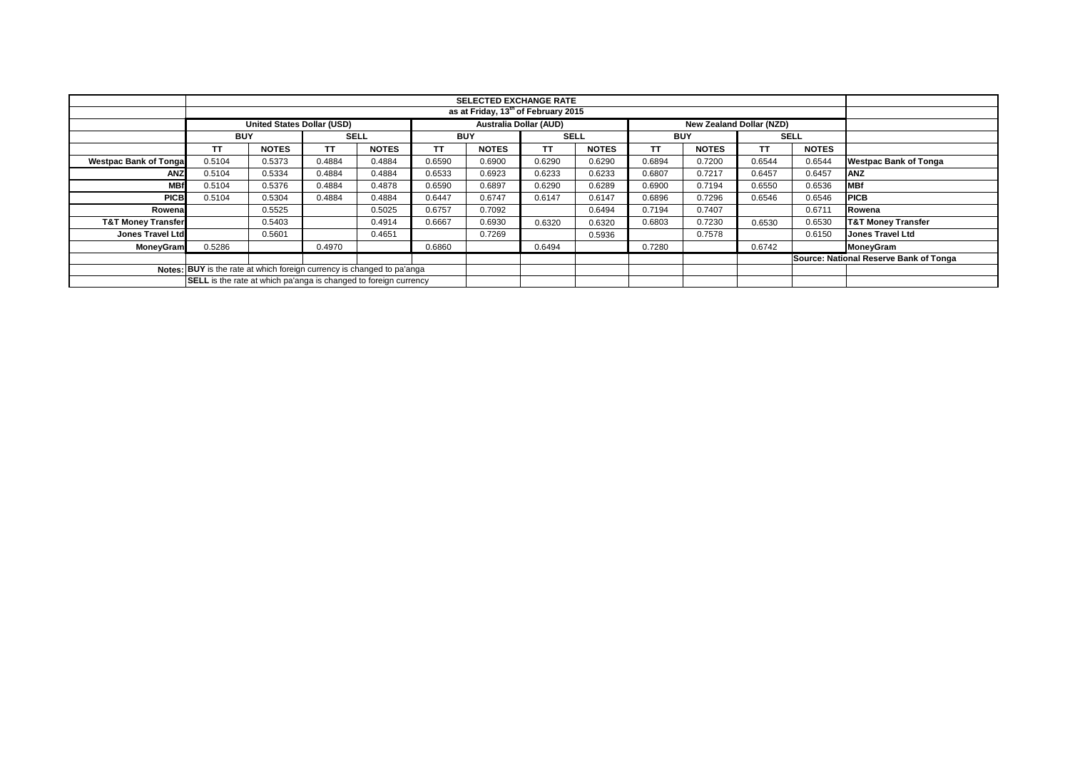|                               |                                                                         |                                                 |             |              |            | <b>SELECTED EXCHANGE RATE</b> |                               |              |            |              |        |                                 |                                        |  |  |
|-------------------------------|-------------------------------------------------------------------------|-------------------------------------------------|-------------|--------------|------------|-------------------------------|-------------------------------|--------------|------------|--------------|--------|---------------------------------|----------------------------------------|--|--|
|                               |                                                                         | as at Friday, 13 <sup>th</sup> of February 2015 |             |              |            |                               |                               |              |            |              |        |                                 |                                        |  |  |
|                               | <b>United States Dollar (USD)</b>                                       |                                                 |             |              |            |                               | <b>Australia Dollar (AUD)</b> |              |            |              |        | <b>New Zealand Dollar (NZD)</b> |                                        |  |  |
|                               | <b>BUY</b>                                                              |                                                 | <b>SELL</b> |              | <b>BUY</b> |                               | <b>SELL</b>                   |              | <b>BUY</b> |              |        | <b>SELL</b>                     |                                        |  |  |
|                               | TΤ                                                                      | <b>NOTES</b>                                    | TΤ          | <b>NOTES</b> | TT         | <b>NOTES</b>                  | <b>TT</b>                     | <b>NOTES</b> | ТT         | <b>NOTES</b> | ТT     | <b>NOTES</b>                    |                                        |  |  |
| <b>Westpac Bank of Tongal</b> | 0.5104                                                                  | 0.5373                                          | 0.4884      | 0.4884       | 0.6590     | 0.6900                        | 0.6290                        | 0.6290       | 0.6894     | 0.7200       | 0.6544 | 0.6544                          | <b>Westpac Bank of Tonga</b>           |  |  |
| ANZ                           | 0.5104                                                                  | 0.5334                                          | 0.4884      | 0.4884       | 0.6533     | 0.6923                        | 0.6233                        | 0.6233       | 0.6807     | 0.7217       | 0.6457 | 0.6457                          | <b>ANZ</b>                             |  |  |
| <b>MBf</b>                    | 0.5104                                                                  | 0.5376                                          | 0.4884      | 0.4878       | 0.6590     | 0.6897                        | 0.6290                        | 0.6289       | 0.6900     | 0.7194       | 0.6550 | 0.6536                          | <b>IMBf</b>                            |  |  |
| <b>PICB</b>                   | 0.5104                                                                  | 0.5304                                          | 0.4884      | 0.4884       | 0.6447     | 0.6747                        | 0.6147                        | 0.6147       | 0.6896     | 0.7296       | 0.6546 | 0.6546                          | <b>PICB</b>                            |  |  |
| Rowena                        |                                                                         | 0.5525                                          |             | 0.5025       | 0.6757     | 0.7092                        |                               | 0.6494       | 0.7194     | 0.7407       |        | 0.6711                          | Rowena                                 |  |  |
| <b>T&amp;T Money Transfer</b> |                                                                         | 0.5403                                          |             | 0.4914       | 0.6667     | 0.6930                        | 0.6320                        | 0.6320       | 0.6803     | 0.7230       | 0.6530 | 0.6530                          | <b>T&amp;T Money Transfer</b>          |  |  |
| Jones Travel Ltd              |                                                                         | 0.5601                                          |             | 0.4651       |            | 0.7269                        |                               | 0.5936       |            | 0.7578       |        | 0.6150                          | <b>Jones Travel Ltd</b>                |  |  |
| <b>MoneyGram</b>              | 0.5286                                                                  |                                                 | 0.4970      |              | 0.6860     |                               | 0.6494                        |              | 0.7280     |              | 0.6742 |                                 | MoneyGram                              |  |  |
|                               |                                                                         |                                                 |             |              |            |                               |                               |              |            |              |        |                                 | Source: National Reserve Bank of Tonga |  |  |
|                               | Notes: BUY is the rate at which foreign currency is changed to pa'anga  |                                                 |             |              |            |                               |                               |              |            |              |        |                                 |                                        |  |  |
|                               | <b>SELL</b> is the rate at which pa'anga is changed to foreign currency |                                                 |             |              |            |                               |                               |              |            |              |        |                                 |                                        |  |  |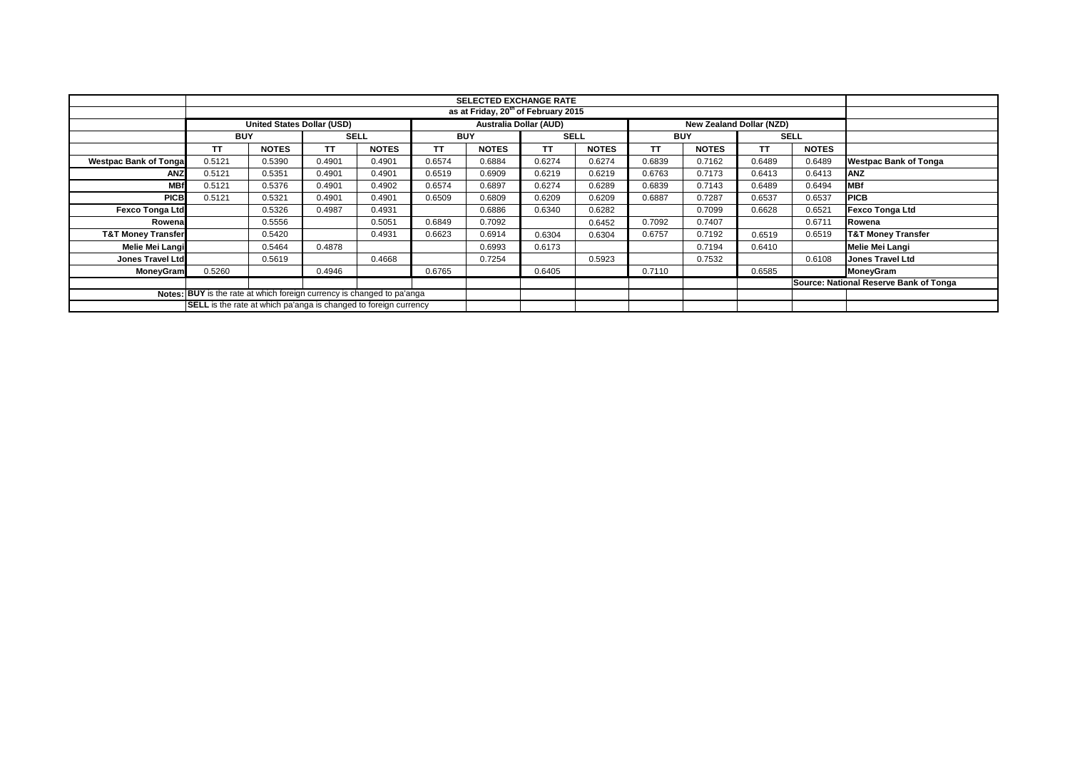|                                                                               |                                                                                                | <b>SELECTED EXCHANGE RATE</b><br>as at Friday, 20 <sup>th</sup> of February 2015 |             |              |            |              |             |              |            |              |             |              |                                        |
|-------------------------------------------------------------------------------|------------------------------------------------------------------------------------------------|----------------------------------------------------------------------------------|-------------|--------------|------------|--------------|-------------|--------------|------------|--------------|-------------|--------------|----------------------------------------|
|                                                                               |                                                                                                |                                                                                  |             |              |            |              |             |              |            |              |             |              |                                        |
|                                                                               | <b>United States Dollar (USD)</b><br><b>Australia Dollar (AUD)</b><br>New Zealand Dollar (NZD) |                                                                                  |             |              |            |              |             |              |            |              |             |              |                                        |
|                                                                               | <b>BUY</b>                                                                                     |                                                                                  | <b>SELL</b> |              | <b>BUY</b> |              | <b>SELL</b> |              | <b>BUY</b> |              | <b>SELL</b> |              |                                        |
|                                                                               | <b>TT</b>                                                                                      | <b>NOTES</b>                                                                     | <b>TT</b>   | <b>NOTES</b> | <b>TT</b>  | <b>NOTES</b> | <b>TT</b>   | <b>NOTES</b> | TT         | <b>NOTES</b> | TΤ          | <b>NOTES</b> |                                        |
| <b>Westpac Bank of Tongal</b>                                                 | 0.5121                                                                                         | 0.5390                                                                           | 0.4901      | 0.4901       | 0.6574     | 0.6884       | 0.6274      | 0.6274       | 0.6839     | 0.7162       | 0.6489      | 0.6489       | <b>Westpac Bank of Tonga</b>           |
| <b>ANZ</b>                                                                    | 0.5121                                                                                         | 0.5351                                                                           | 0.4901      | 0.4901       | 0.6519     | 0.6909       | 0.6219      | 0.6219       | 0.6763     | 0.7173       | 0.6413      | 0.6413       | <b>ANZ</b>                             |
| <b>MBf</b>                                                                    | 0.5121                                                                                         | 0.5376                                                                           | 0.4901      | 0.4902       | 0.6574     | 0.6897       | 0.6274      | 0.6289       | 0.6839     | 0.7143       | 0.6489      | 0.6494       | <b>MBf</b>                             |
| <b>PICB</b>                                                                   | 0.5121                                                                                         | 0.5321                                                                           | 0.4901      | 0.4901       | 0.6509     | 0.6809       | 0.6209      | 0.6209       | 0.6887     | 0.7287       | 0.6537      | 0.6537       | <b>PICB</b>                            |
| <b>Fexco Tonga Ltd</b>                                                        |                                                                                                | 0.5326                                                                           | 0.4987      | 0.4931       |            | 0.6886       | 0.6340      | 0.6282       |            | 0.7099       | 0.6628      | 0.6521       | <b>Fexco Tonga Ltd</b>                 |
| Rowena                                                                        |                                                                                                | 0.5556                                                                           |             | 0.5051       | 0.6849     | 0.7092       |             | 0.6452       | 0.7092     | 0.7407       |             | 0.6711       | Rowena                                 |
| <b>T&amp;T Money Transfer</b>                                                 |                                                                                                | 0.5420                                                                           |             | 0.4931       | 0.6623     | 0.6914       | 0.6304      | 0.6304       | 0.6757     | 0.7192       | 0.6519      | 0.6519       | <b>T&amp;T Money Transfer</b>          |
| <b>Melie Mei Langi</b>                                                        |                                                                                                | 0.5464                                                                           | 0.4878      |              |            | 0.6993       | 0.6173      |              |            | 0.7194       | 0.6410      |              | Melie Mei Langi                        |
| <b>Jones Travel Ltd</b>                                                       |                                                                                                | 0.5619                                                                           |             | 0.4668       |            | 0.7254       |             | 0.5923       |            | 0.7532       |             | 0.6108       | <b>Jones Travel Ltd</b>                |
| <b>MoneyGram</b>                                                              | 0.5260                                                                                         |                                                                                  | 0.4946      |              | 0.6765     |              | 0.6405      |              | 0.7110     |              | 0.6585      |              | MoneyGram                              |
|                                                                               |                                                                                                |                                                                                  |             |              |            |              |             |              |            |              |             |              | Source: National Reserve Bank of Tonga |
| <b>Notes: BUY</b> is the rate at which foreign currency is changed to pa'anga |                                                                                                |                                                                                  |             |              |            |              |             |              |            |              |             |              |                                        |
| SELL is the rate at which pa'anga is changed to foreign currency              |                                                                                                |                                                                                  |             |              |            |              |             |              |            |              |             |              |                                        |